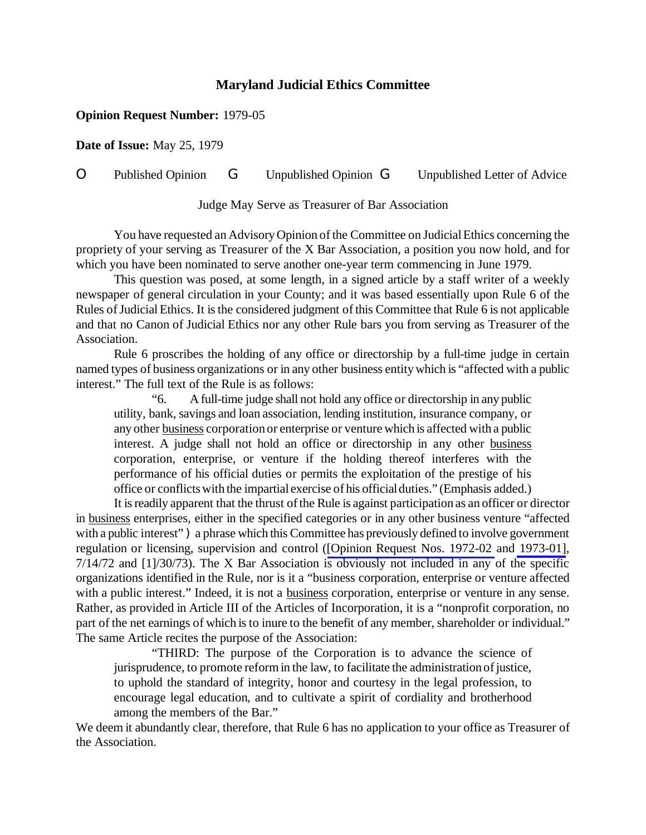## **Maryland Judicial Ethics Committee**

## **Opinion Request Number:** 1979-05

**Date of Issue:** May 25, 1979

## O Published Opinion G Unpublished Opinion G Unpublished Letter of Advice

Judge May Serve as Treasurer of Bar Association

You have requested an Advisory Opinion of the Committee on Judicial Ethics concerning the propriety of your serving as Treasurer of the X Bar Association, a position you now hold, and for which you have been nominated to serve another one-year term commencing in June 1979.

This question was posed, at some length, in a signed article by a staff writer of a weekly newspaper of general circulation in your County; and it was based essentially upon Rule 6 of the Rules of Judicial Ethics. It is the considered judgment of this Committee that Rule 6 is not applicable and that no Canon of Judicial Ethics nor any other Rule bars you from serving as Treasurer of the Association.

Rule 6 proscribes the holding of any office or directorship by a full-time judge in certain named types of business organizations or in any other business entitywhich is "affected with a public interest." The full text of the Rule is as follows:

"6. A full-time judge shall not hold any office or directorship in any public utility, bank, savings and loan association, lending institution, insurance company, or any other business corporation or enterprise or venture which is affected with a public interest. A judge shall not hold an office or directorship in any other business corporation, enterprise, or venture if the holding thereof interferes with the performance of his official duties or permits the exploitation of the prestige of his office or conflictswith the impartial exercise of his officialduties." (Emphasis added.)

It is readily apparent that the thrust of the Rule is against participation as an officer or director in business enterprises, either in the specified categories or in any other business venture "affected with a public interest") a phrase which this Committee has previously defined to involve government regulation or licensing, supervision and control ([Opinion [Request Nos. 1972-02](http://www.mdcourts.gov/ethics/pdfs/1972-02.pdf) and [1973-01\]](http://www.mdcourts.gov/ethics/pdfs/1973-01.pdf), 7/14/72 and [1]/30/73). The X Bar Association is obviously not included in any of the specific organizations identified in the Rule, nor is it a "business corporation, enterprise or venture affected with a public interest." Indeed, it is not a business corporation, enterprise or venture in any sense. Rather, as provided in Article III of the Articles of Incorporation, it is a "nonprofit corporation, no part of the net earnings of which is to inure to the benefit of any member, shareholder or individual." The same Article recites the purpose of the Association:

"THIRD: The purpose of the Corporation is to advance the science of jurisprudence, to promote reform in the law, to facilitate the administration of justice, to uphold the standard of integrity, honor and courtesy in the legal profession, to encourage legal education, and to cultivate a spirit of cordiality and brotherhood among the members of the Bar."

We deem it abundantly clear, therefore, that Rule 6 has no application to your office as Treasurer of the Association.